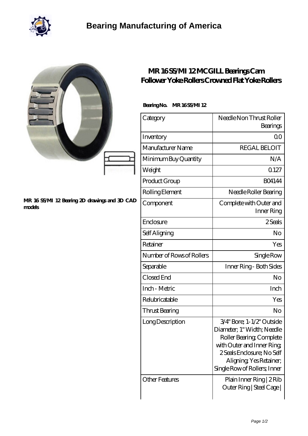

|                                                         | MR 16SS/MI 12MCGILL Bearings Cam<br>Follower Yoke Rollers Crowned Flat Yoke Rollers |                                                                                                                                                                                                                                              |  |
|---------------------------------------------------------|-------------------------------------------------------------------------------------|----------------------------------------------------------------------------------------------------------------------------------------------------------------------------------------------------------------------------------------------|--|
|                                                         | BearingNo.<br>MR16SSMI12                                                            |                                                                                                                                                                                                                                              |  |
|                                                         | Category                                                                            | Needle Non Thrust Roller<br>Bearings                                                                                                                                                                                                         |  |
|                                                         | Inventory                                                                           | 0 <sub>0</sub>                                                                                                                                                                                                                               |  |
|                                                         | Manufacturer Name                                                                   | <b>REGAL BELOIT</b>                                                                                                                                                                                                                          |  |
|                                                         | Minimum Buy Quantity                                                                | N/A                                                                                                                                                                                                                                          |  |
|                                                         | Weight                                                                              | 0.127                                                                                                                                                                                                                                        |  |
| MR 16 SS/MI 12 Bearing 2D drawings and 3D CAD<br>models | Product Group                                                                       | <b>BO4144</b>                                                                                                                                                                                                                                |  |
|                                                         | Rolling Element                                                                     | Needle Roller Bearing                                                                                                                                                                                                                        |  |
|                                                         | Component                                                                           | Complete with Outer and<br>Inner Ring                                                                                                                                                                                                        |  |
|                                                         | Enclosure                                                                           | 2Seals                                                                                                                                                                                                                                       |  |
|                                                         | Self Aligning                                                                       | No                                                                                                                                                                                                                                           |  |
|                                                         | Retainer                                                                            | Yes                                                                                                                                                                                                                                          |  |
|                                                         | Number of Rows of Rollers                                                           | Single Row                                                                                                                                                                                                                                   |  |
|                                                         | Separable                                                                           | Inner Ring - Both Sides                                                                                                                                                                                                                      |  |
|                                                         | Closed End                                                                          | No                                                                                                                                                                                                                                           |  |
|                                                         | Inch - Metric                                                                       | Inch                                                                                                                                                                                                                                         |  |
|                                                         | Relubricatable                                                                      | Yes                                                                                                                                                                                                                                          |  |
|                                                         | <b>Thrust Bearing</b>                                                               | No                                                                                                                                                                                                                                           |  |
|                                                         | <b>Long Description</b><br><b>Other Features</b>                                    | $3/4$ " Bore; 1- $1/2$ " Outside<br>Diameter; 1" Width; Needle<br>Roller Bearing, Complete<br>with Outer and Inner Ring<br>2 Seals Enclosure; No Self<br>Aligning, Yes Retainer,<br>Single Row of Rollers, Inner<br>Plain Inner Ring   2 Rib |  |
|                                                         |                                                                                     | Outer Ring   Steel Cage                                                                                                                                                                                                                      |  |